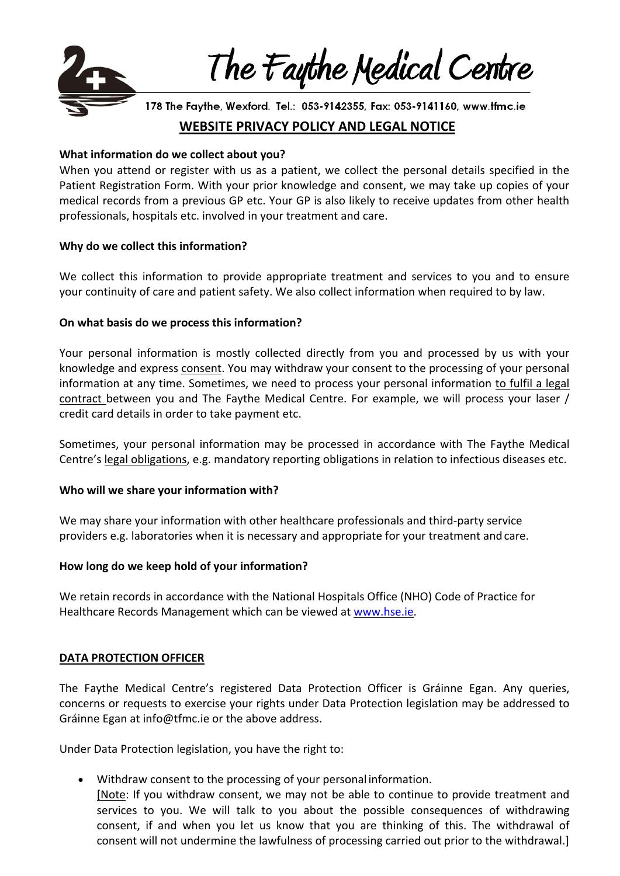

The Faythe Medical Centre

178 The Faythe, Wexford. Tel.: 053-9142355, Fax: 053-9141160, www.tfmc.ie

# **WEBSITE PRIVACY POLICY AND LEGAL NOTICE**

# **What information do we collect about you?**

When you attend or register with us as a patient, we collect the personal details specified in the Patient Registration Form. With your prior knowledge and consent, we may take up copies of your medical records from a previous GP etc. Your GP is also likely to receive updates from other health professionals, hospitals etc. involved in your treatment and care.

#### **Why do we collect this information?**

We collect this information to provide appropriate treatment and services to you and to ensure your continuity of care and patient safety. We also collect information when required to by law.

# **On what basis do we process this information?**

Your personal information is mostly collected directly from you and processed by us with your knowledge and express consent. You may withdraw your consent to the processing of your personal information at any time. Sometimes, we need to process your personal information to fulfil a legal contract between you and The Faythe Medical Centre. For example, we will process your laser / credit card details in order to take payment etc.

Sometimes, your personal information may be processed in accordance with The Faythe Medical Centre's legal obligations, e.g. mandatory reporting obligations in relation to infectious diseases etc.

# **Who will we share your information with?**

We may share your information with other healthcare professionals and third-party service providers e.g. laboratories when it is necessary and appropriate for your treatment and care.

# **How long do we keep hold of your information?**

We retain records in accordance with the National Hospitals Office (NHO) Code of Practice for Healthcare Records Management which can be viewed at [www.hse.ie](http://www.hse.ie/).

#### **DATA PROTECTION OFFICER**

The Faythe Medical Centre's registered Data Protection Officer is Gráinne Egan. Any queries, concerns or requests to exercise your rights under Data Protection legislation may be addressed to Gráinne Egan at info@tfmc.ie or the above address.

Under Data Protection legislation, you have the right to:

- Withdraw consent to the processing of your personal information.
	- [Note: If you withdraw consent, we may not be able to continue to provide treatment and services to you. We will talk to you about the possible consequences of withdrawing consent, if and when you let us know that you are thinking of this. The withdrawal of consent will not undermine the lawfulness of processing carried out prior to the withdrawal.]